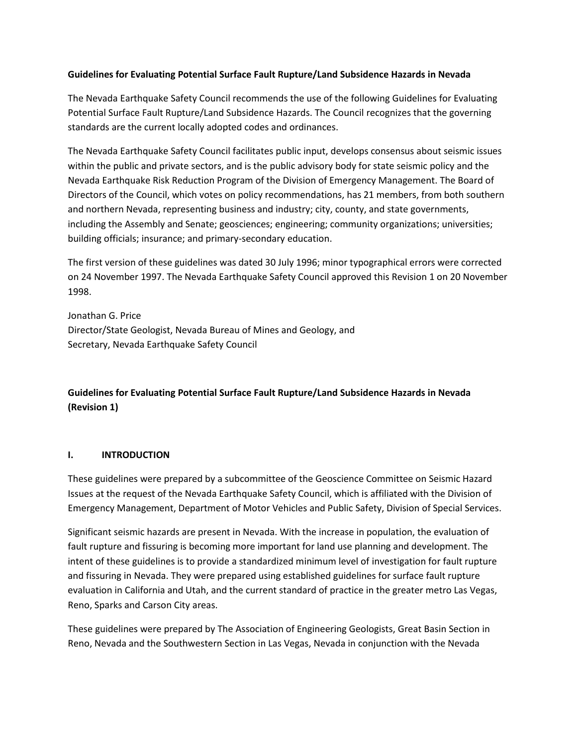# **Guidelines for Evaluating Potential Surface Fault Rupture/Land Subsidence Hazards in Nevada**

The Nevada Earthquake Safety Council recommends the use of the following Guidelines for Evaluating Potential Surface Fault Rupture/Land Subsidence Hazards. The Council recognizes that the governing standards are the current locally adopted codes and ordinances.

The Nevada Earthquake Safety Council facilitates public input, develops consensus about seismic issues within the public and private sectors, and is the public advisory body for state seismic policy and the Nevada Earthquake Risk Reduction Program of the Division of Emergency Management. The Board of Directors of the Council, which votes on policy recommendations, has 21 members, from both southern and northern Nevada, representing business and industry; city, county, and state governments, including the Assembly and Senate; geosciences; engineering; community organizations; universities; building officials; insurance; and primary-secondary education.

The first version of these guidelines was dated 30 July 1996; minor typographical errors were corrected on 24 November 1997. The Nevada Earthquake Safety Council approved this Revision 1 on 20 November 1998.

Jonathan G. Price Director/State Geologist, Nevada Bureau of Mines and Geology, and Secretary, Nevada Earthquake Safety Council

# **Guidelines for Evaluating Potential Surface Fault Rupture/Land Subsidence Hazards in Nevada (Revision 1)**

# **I. INTRODUCTION**

These guidelines were prepared by a subcommittee of the Geoscience Committee on Seismic Hazard Issues at the request of the Nevada Earthquake Safety Council, which is affiliated with the Division of Emergency Management, Department of Motor Vehicles and Public Safety, Division of Special Services.

Significant seismic hazards are present in Nevada. With the increase in population, the evaluation of fault rupture and fissuring is becoming more important for land use planning and development. The intent of these guidelines is to provide a standardized minimum level of investigation for fault rupture and fissuring in Nevada. They were prepared using established guidelines for surface fault rupture evaluation in California and Utah, and the current standard of practice in the greater metro Las Vegas, Reno, Sparks and Carson City areas.

These guidelines were prepared by The Association of Engineering Geologists, Great Basin Section in Reno, Nevada and the Southwestern Section in Las Vegas, Nevada in conjunction with the Nevada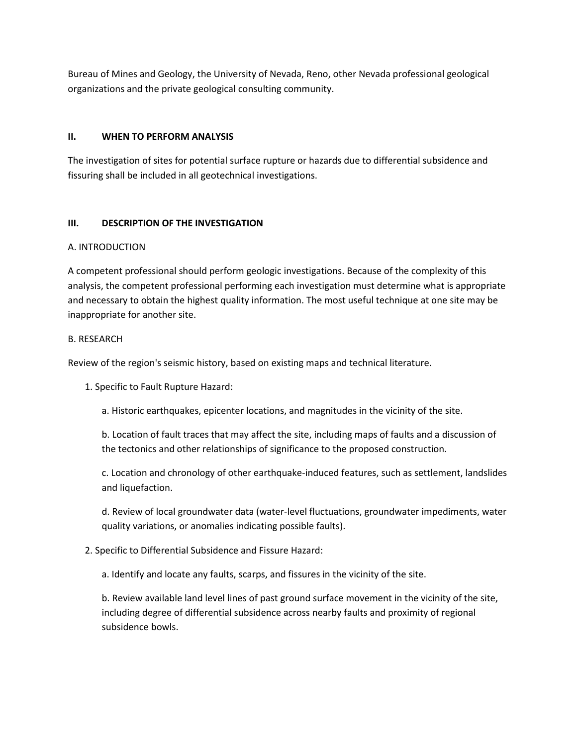Bureau of Mines and Geology, the University of Nevada, Reno, other Nevada professional geological organizations and the private geological consulting community.

# **II. WHEN TO PERFORM ANALYSIS**

The investigation of sites for potential surface rupture or hazards due to differential subsidence and fissuring shall be included in all geotechnical investigations.

# **III. DESCRIPTION OF THE INVESTIGATION**

# A. INTRODUCTION

A competent professional should perform geologic investigations. Because of the complexity of this analysis, the competent professional performing each investigation must determine what is appropriate and necessary to obtain the highest quality information. The most useful technique at one site may be inappropriate for another site.

# B. RESEARCH

Review of the region's seismic history, based on existing maps and technical literature.

1. Specific to Fault Rupture Hazard:

a. Historic earthquakes, epicenter locations, and magnitudes in the vicinity of the site.

b. Location of fault traces that may affect the site, including maps of faults and a discussion of the tectonics and other relationships of significance to the proposed construction.

c. Location and chronology of other earthquake-induced features, such as settlement, landslides and liquefaction.

d. Review of local groundwater data (water-level fluctuations, groundwater impediments, water quality variations, or anomalies indicating possible faults).

# 2. Specific to Differential Subsidence and Fissure Hazard:

a. Identify and locate any faults, scarps, and fissures in the vicinity of the site.

b. Review available land level lines of past ground surface movement in the vicinity of the site, including degree of differential subsidence across nearby faults and proximity of regional subsidence bowls.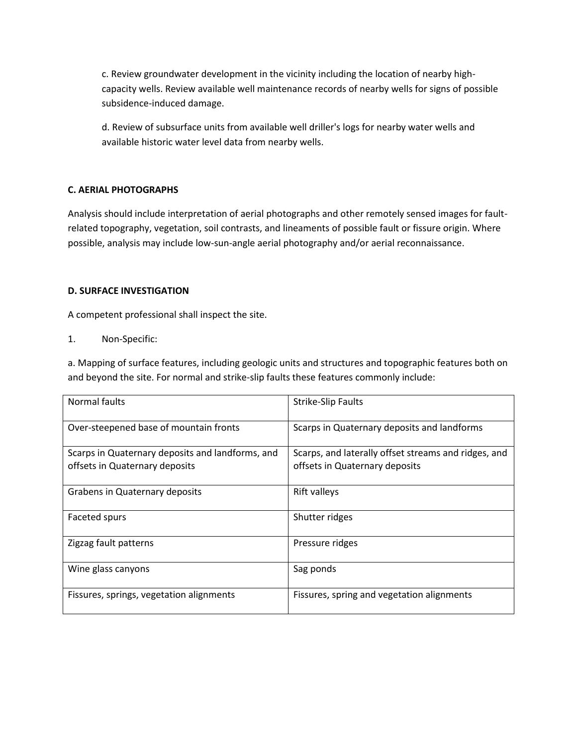c. Review groundwater development in the vicinity including the location of nearby highcapacity wells. Review available well maintenance records of nearby wells for signs of possible subsidence-induced damage.

d. Review of subsurface units from available well driller's logs for nearby water wells and available historic water level data from nearby wells.

# **C. AERIAL PHOTOGRAPHS**

Analysis should include interpretation of aerial photographs and other remotely sensed images for faultrelated topography, vegetation, soil contrasts, and lineaments of possible fault or fissure origin. Where possible, analysis may include low-sun-angle aerial photography and/or aerial reconnaissance.

# **D. SURFACE INVESTIGATION**

A competent professional shall inspect the site.

1. Non-Specific:

a. Mapping of surface features, including geologic units and structures and topographic features both on and beyond the site. For normal and strike-slip faults these features commonly include:

| Normal faults                                                                      | <b>Strike-Slip Faults</b>                                                              |
|------------------------------------------------------------------------------------|----------------------------------------------------------------------------------------|
| Over-steepened base of mountain fronts                                             | Scarps in Quaternary deposits and landforms                                            |
| Scarps in Quaternary deposits and landforms, and<br>offsets in Quaternary deposits | Scarps, and laterally offset streams and ridges, and<br>offsets in Quaternary deposits |
| Grabens in Quaternary deposits                                                     | <b>Rift valleys</b>                                                                    |
| Faceted spurs                                                                      | Shutter ridges                                                                         |
| Zigzag fault patterns                                                              | Pressure ridges                                                                        |
| Wine glass canyons                                                                 | Sag ponds                                                                              |
| Fissures, springs, vegetation alignments                                           | Fissures, spring and vegetation alignments                                             |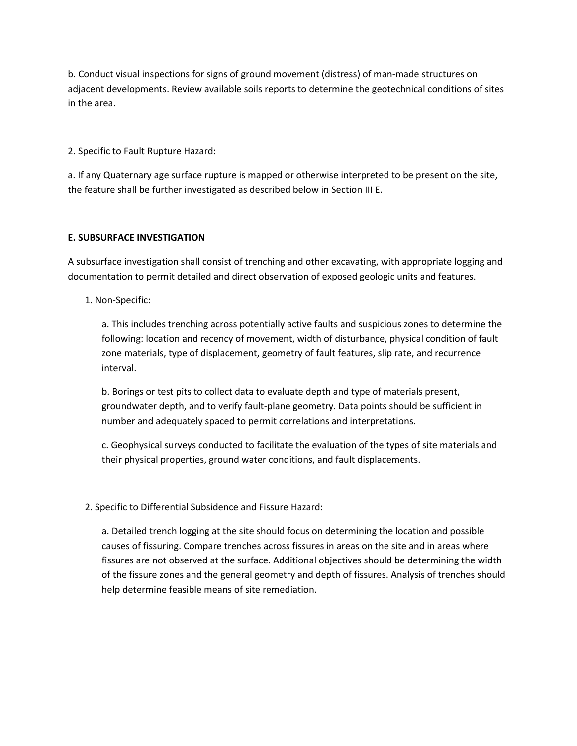b. Conduct visual inspections for signs of ground movement (distress) of man-made structures on adjacent developments. Review available soils reports to determine the geotechnical conditions of sites in the area.

2. Specific to Fault Rupture Hazard:

a. If any Quaternary age surface rupture is mapped or otherwise interpreted to be present on the site, the feature shall be further investigated as described below in Section III E.

# **E. SUBSURFACE INVESTIGATION**

A subsurface investigation shall consist of trenching and other excavating, with appropriate logging and documentation to permit detailed and direct observation of exposed geologic units and features.

1. Non-Specific:

a. This includes trenching across potentially active faults and suspicious zones to determine the following: location and recency of movement, width of disturbance, physical condition of fault zone materials, type of displacement, geometry of fault features, slip rate, and recurrence interval.

b. Borings or test pits to collect data to evaluate depth and type of materials present, groundwater depth, and to verify fault-plane geometry. Data points should be sufficient in number and adequately spaced to permit correlations and interpretations.

c. Geophysical surveys conducted to facilitate the evaluation of the types of site materials and their physical properties, ground water conditions, and fault displacements.

# 2. Specific to Differential Subsidence and Fissure Hazard:

a. Detailed trench logging at the site should focus on determining the location and possible causes of fissuring. Compare trenches across fissures in areas on the site and in areas where fissures are not observed at the surface. Additional objectives should be determining the width of the fissure zones and the general geometry and depth of fissures. Analysis of trenches should help determine feasible means of site remediation.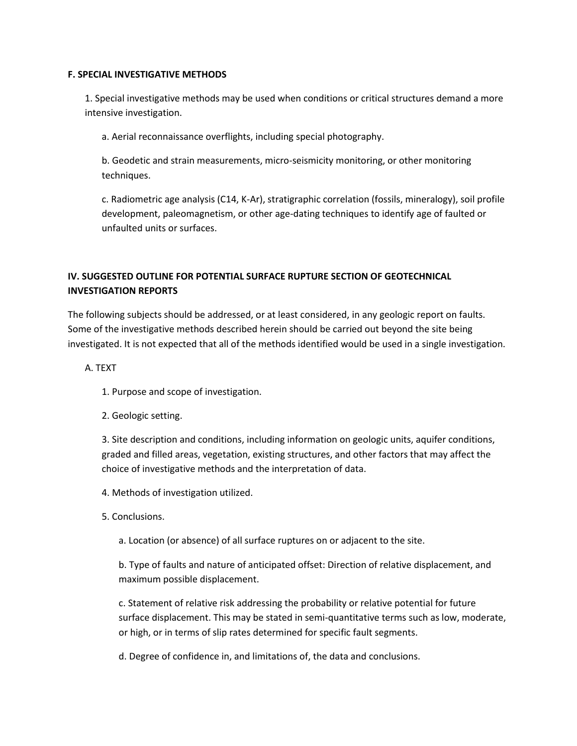#### **F. SPECIAL INVESTIGATIVE METHODS**

1. Special investigative methods may be used when conditions or critical structures demand a more intensive investigation.

a. Aerial reconnaissance overflights, including special photography.

b. Geodetic and strain measurements, micro-seismicity monitoring, or other monitoring techniques.

c. Radiometric age analysis (C14, K-Ar), stratigraphic correlation (fossils, mineralogy), soil profile development, paleomagnetism, or other age-dating techniques to identify age of faulted or unfaulted units or surfaces.

# **IV. SUGGESTED OUTLINE FOR POTENTIAL SURFACE RUPTURE SECTION OF GEOTECHNICAL INVESTIGATION REPORTS**

The following subjects should be addressed, or at least considered, in any geologic report on faults. Some of the investigative methods described herein should be carried out beyond the site being investigated. It is not expected that all of the methods identified would be used in a single investigation.

A. TEXT

- 1. Purpose and scope of investigation.
- 2. Geologic setting.

3. Site description and conditions, including information on geologic units, aquifer conditions, graded and filled areas, vegetation, existing structures, and other factors that may affect the choice of investigative methods and the interpretation of data.

4. Methods of investigation utilized.

- 5. Conclusions.
	- a. Location (or absence) of all surface ruptures on or adjacent to the site.

b. Type of faults and nature of anticipated offset: Direction of relative displacement, and maximum possible displacement.

c. Statement of relative risk addressing the probability or relative potential for future surface displacement. This may be stated in semi-quantitative terms such as low, moderate, or high, or in terms of slip rates determined for specific fault segments.

d. Degree of confidence in, and limitations of, the data and conclusions.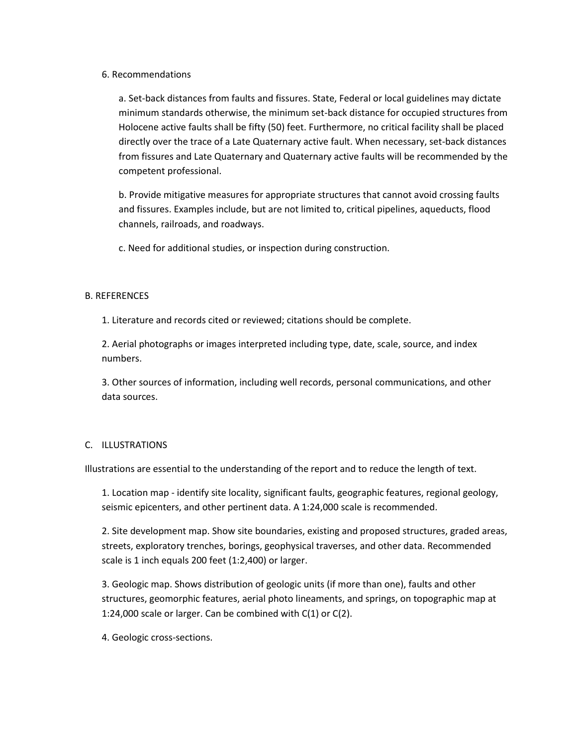#### 6. Recommendations

a. Set-back distances from faults and fissures. State, Federal or local guidelines may dictate minimum standards otherwise, the minimum set-back distance for occupied structures from Holocene active faults shall be fifty (50) feet. Furthermore, no critical facility shall be placed directly over the trace of a Late Quaternary active fault. When necessary, set-back distances from fissures and Late Quaternary and Quaternary active faults will be recommended by the competent professional.

b. Provide mitigative measures for appropriate structures that cannot avoid crossing faults and fissures. Examples include, but are not limited to, critical pipelines, aqueducts, flood channels, railroads, and roadways.

c. Need for additional studies, or inspection during construction.

# B. REFERENCES

1. Literature and records cited or reviewed; citations should be complete.

2. Aerial photographs or images interpreted including type, date, scale, source, and index numbers.

3. Other sources of information, including well records, personal communications, and other data sources.

# C. ILLUSTRATIONS

Illustrations are essential to the understanding of the report and to reduce the length of text.

1. Location map - identify site locality, significant faults, geographic features, regional geology, seismic epicenters, and other pertinent data. A 1:24,000 scale is recommended.

2. Site development map. Show site boundaries, existing and proposed structures, graded areas, streets, exploratory trenches, borings, geophysical traverses, and other data. Recommended scale is 1 inch equals 200 feet (1:2,400) or larger.

3. Geologic map. Shows distribution of geologic units (if more than one), faults and other structures, geomorphic features, aerial photo lineaments, and springs, on topographic map at 1:24,000 scale or larger. Can be combined with C(1) or C(2).

4. Geologic cross-sections.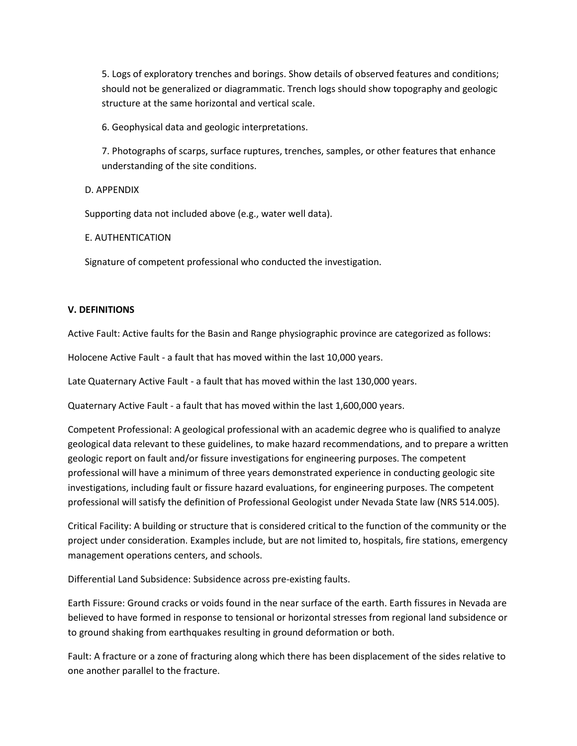5. Logs of exploratory trenches and borings. Show details of observed features and conditions; should not be generalized or diagrammatic. Trench logs should show topography and geologic structure at the same horizontal and vertical scale.

6. Geophysical data and geologic interpretations.

7. Photographs of scarps, surface ruptures, trenches, samples, or other features that enhance understanding of the site conditions.

D. APPENDIX

Supporting data not included above (e.g., water well data).

E. AUTHENTICATION

Signature of competent professional who conducted the investigation.

# **V. DEFINITIONS**

Active Fault: Active faults for the Basin and Range physiographic province are categorized as follows:

Holocene Active Fault - a fault that has moved within the last 10,000 years.

Late Quaternary Active Fault - a fault that has moved within the last 130,000 years.

Quaternary Active Fault - a fault that has moved within the last 1,600,000 years.

Competent Professional: A geological professional with an academic degree who is qualified to analyze geological data relevant to these guidelines, to make hazard recommendations, and to prepare a written geologic report on fault and/or fissure investigations for engineering purposes. The competent professional will have a minimum of three years demonstrated experience in conducting geologic site investigations, including fault or fissure hazard evaluations, for engineering purposes. The competent professional will satisfy the definition of Professional Geologist under Nevada State law (NRS 514.005).

Critical Facility: A building or structure that is considered critical to the function of the community or the project under consideration. Examples include, but are not limited to, hospitals, fire stations, emergency management operations centers, and schools.

Differential Land Subsidence: Subsidence across pre-existing faults.

Earth Fissure: Ground cracks or voids found in the near surface of the earth. Earth fissures in Nevada are believed to have formed in response to tensional or horizontal stresses from regional land subsidence or to ground shaking from earthquakes resulting in ground deformation or both.

Fault: A fracture or a zone of fracturing along which there has been displacement of the sides relative to one another parallel to the fracture.